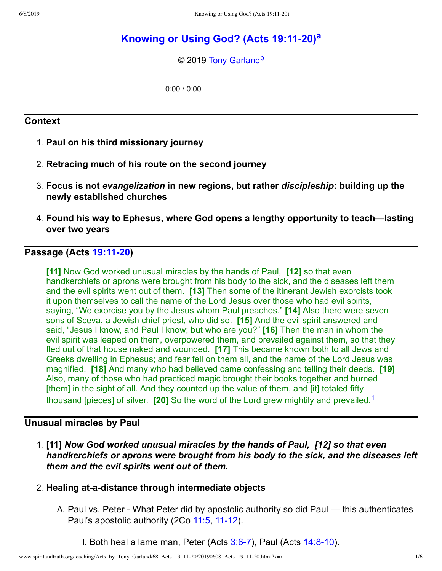# **Knowing or Using God? (Acts [19:1120\)](http://www.spiritandtruth.org/teaching/Acts_by_Tony_Garland/68_Acts_19_11-20/index.htm) [a](#page-5-0)**

<span id="page-0-2"></span><span id="page-0-1"></span>© 2019 [Tony Garland](http://www.spiritandtruth.org/id/tg.htm)<sup>[b](#page-5-1)</sup>

0:00 / 0:00

# **Context**

- 1. **Paul on his third missionary journey**
- 2. **Retracing much of his route on the second journey**
- 3. **Focus is not** *evangelization* **in new regions, but rather** *discipleship***: building up the newly established churches**
- 4. **Found his way to Ephesus, where God opens a lengthy opportunity to teach—lasting over two years**

# **Passage (Acts [19:1120](http://www.spiritandtruth.org/bibles/nasb/b44c019.htm#Acts_C19V11))**

**[11]** Now God worked unusual miracles by the hands of Paul, **[12]** so that even handkerchiefs or aprons were brought from his body to the sick, and the diseases left them and the evil spirits went out of them. **[13]** Then some of the itinerant Jewish exorcists took it upon themselves to call the name of the Lord Jesus over those who had evil spirits, saying, "We exorcise you by the Jesus whom Paul preaches." **[14]** Also there were seven sons of Sceva, a Jewish chief priest, who did so. **[15]** And the evil spirit answered and said, "Jesus I know, and Paul I know; but who are you?" **[16]** Then the man in whom the evil spirit was leaped on them, overpowered them, and prevailed against them, so that they fled out of that house naked and wounded. **[17]** This became known both to all Jews and Greeks dwelling in Ephesus; and fear fell on them all, and the name of the Lord Jesus was magnified. **[18]** And many who had believed came confessing and telling their deeds. **[19]** Also, many of those who had practiced magic brought their books together and burned [them] in the sight of all. And they counted up the value of them, and [it] totaled fifty thousand [pieces] of silver. **[20]** So the word of the Lord grew mightily and prevailed.[1](#page-5-2)

# **Unusual miracles by Paul**

1. **[11]** *Now God worked unusual miracles by the hands of Paul, [12] so that even handkerchiefs or aprons were brought from his body to the sick, and the diseases left them and the evil spirits went out of them.*

### 2. **Healing atadistance through intermediate objects**

- <span id="page-0-0"></span>A. Paul vs. Peter - What Peter did by apostolic authority so did Paul — this authenticates Paul's apostolic authority (2Co [11:5](http://www.spiritandtruth.org/bibles/nasb/b47c011.htm#2Cor._C11V5), 11-12).
	- I. Both heal a lame man, Peter (Acts  $3:6-7$ ), Paul (Acts  $14:8-10$ ).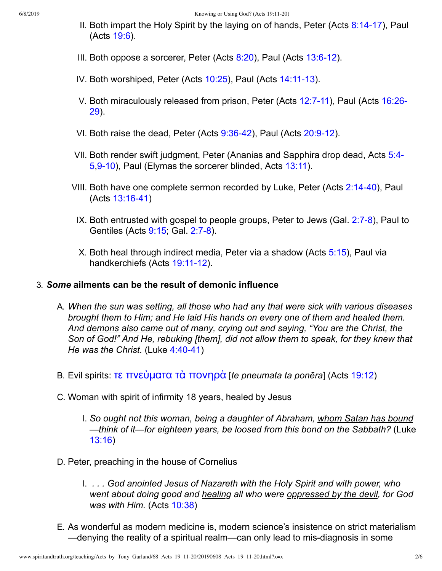- II. Both impart the Holy Spirit by the laying on of hands, Peter (Acts  $8:14-17$ ), Paul (Acts [19:6\)](http://www.spiritandtruth.org/bibles/nasb/b44c019.htm#Acts_C19V6).
- III. Both oppose a sorcerer, Peter (Acts  $8:20$ ), Paul (Acts  $13:6-12$ ).
- IV. Both worshiped, Peter (Acts  $10:25$ ), Paul (Acts  $14:11-13$ ).
- V. Both [miraculously](http://www.spiritandtruth.org/bibles/nasb/b44c016.htm#Acts_C16V26) released from prison, Peter (Acts 12:7-11), Paul (Acts 16:26-29).
- VI. Both raise the dead, Peter (Acts  $9:36-42$ ), Paul (Acts  $20:9-12$ ).
- VII. Both render swift [judgment,](http://www.spiritandtruth.org/bibles/nasb/b44c005.htm#Acts_C5V4) Peter (Ananias and Sapphira drop dead, Acts 5:4 5,9-10), Paul (Elymas the sorcerer blinded, Acts [13:11\)](http://www.spiritandtruth.org/bibles/nasb/b44c013.htm#Acts_C13V11).
- VIII. Both have one complete sermon recorded by Luke, Peter (Acts 2:14-40), Paul  $(Acts 13:16-41)$
- IX. Both entrusted with gospel to people groups, Peter to Jews (Gal.  $2:7-8$ ), Paul to Gentiles (Acts [9:15;](http://www.spiritandtruth.org/bibles/nasb/b44c009.htm#Acts_C9V15) Gal. 2:7-8).
- X. Both heal through indirect media, Peter via a shadow (Acts [5:15\)](http://www.spiritandtruth.org/bibles/nasb/b44c005.htm#Acts_C5V15), Paul via handkerchiefs (Acts 19:11-12).

# 3. *Some* **ailments can be the result of demonic influence**

- A. *When the sun was setting, all those who had any that were sick with various diseases brought them to Him; and He laid His hands on every one of them and healed them. And demons also came out of many, crying out and saying, "You are the Christ, the Son of God!" And He, rebuking [them], did not allow them to speak, for they knew that He* was the *Christ.* (Luke 4:40-41)
- B. Evil spirits: τε [πνεὺματα τὰ πονηρὰ](http://www.spiritandtruth.org/fontsu/index.htm) [*te pneumata ta ponēra*] (Acts [19:12](http://www.spiritandtruth.org/bibles/nasb/b44c019.htm#Acts_C19V12))
- C. Woman with spirit of infirmity 18 years, healed by Jesus
	- I. *So ought not this woman, being a daughter of Abraham, whom Satan has bound —think of it—for eighteen years, be loosed from this bond on the Sabbath?* (Luke [13:16\)](http://www.spiritandtruth.org/bibles/nasb/b42c013.htm#Luke_C13V16)
- D. Peter, preaching in the house of Cornelius
	- I. *. . . God anointed Jesus of Nazareth with the Holy Spirit and with power, who went about doing good and healing all who were oppressed by the devil, for God was with Him.* (Acts [10:38](http://www.spiritandtruth.org/bibles/nasb/b44c010.htm#Acts_C10V38))
- E. As wonderful as modern medicine is, modern science's insistence on strict materialism —denying the reality of a spiritual realm—can only lead to mis-diagnosis in some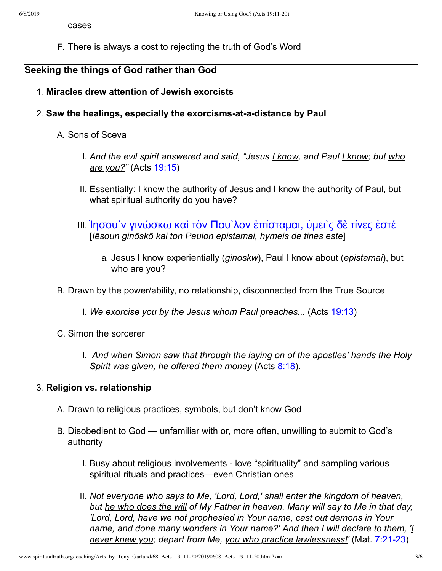cases

F. There is always a cost to rejecting the truth of God's Word

# **Seeking the things of God rather than God**

- 1. **Miracles drew attention of Jewish exorcists**
- 2. Saw the healings, especially the exorcisms-at-a-distance by Paul

### A. Sons of Sceva

- I. *And the evil spirit answered and said, "Jesus I know, and Paul I know; but who are you?"* (Acts [19:15](http://www.spiritandtruth.org/bibles/nasb/b44c019.htm#Acts_C19V15))
- II. Essentially: I know the authority of Jesus and I know the authority of Paul, but what spiritual **authority** do you have?
- III. Ἰησου`ν γινώσκω καὶ τὸν Παυ`λον [ἐπίσταμαι,](http://www.spiritandtruth.org/fontsu/index.htm) ὑμει`ς δὲ τίνες ἐστέ [*Iēsoun ginōskō kai ton Paulon epistamai, hymeis de tines este*]
	- a. Jesus I know experientially (*ginōskw*), Paul I know about (*epistamai*), but who are you?
- B. Drawn by the power/ability, no relationship, disconnected from the True Source

I. *We exorcise you by the Jesus whom Paul preaches...* (Acts [19:13](http://www.spiritandtruth.org/bibles/nasb/b44c019.htm#Acts_C19V13))

- C. Simon the sorcerer
	- I. *And when Simon saw that through the laying on of the apostles' hands the Holy Spirit was given, he offered them money* (Acts [8:18](http://www.spiritandtruth.org/bibles/nasb/b44c008.htm#Acts_C8V18)).

### 3. **Religion vs. relationship**

- A. Drawn to religious practices, symbols, but don't know God
- B. Disobedient to God unfamiliar with or, more often, unwilling to submit to God's authority
	- I. Busy about religious involvements love "spirituality" and sampling various spiritual rituals and practices—even Christian ones
	- II. *Not everyone who says to Me, 'Lord, Lord,' shall enter the kingdom of heaven, but he who does the will of My Father in heaven. Many will say to Me in that day, 'Lord, Lord, have we not prophesied in Your name, cast out demons in Your name, and done many wonders in Your name?' And then I will declare to them, 'I never knew you; depart from Me, you who practice lawlessness!'* (Mat. 7:21-23)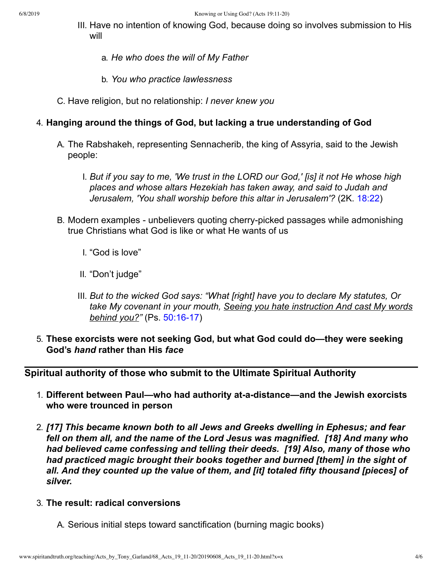- III. Have no intention of knowing God, because doing so involves submission to His will
	- a. *He who does the will of My Father*
	- b. *You who practice lawlessness*
- C. Have religion, but no relationship: *I never knew you*

# 4. **Hanging around the things of God, but lacking a true understanding of God**

- A. The Rabshakeh, representing Sennacherib, the king of Assyria, said to the Jewish people:
	- I. *But if you say to me, 'We trust in the LORD our God,' [is] it not He whose high places and whose altars Hezekiah has taken away, and said to Judah and Jerusalem, 'You shall worship before this altar in Jerusalem'?* (2K. [18:22](http://www.spiritandtruth.org/bibles/nasb/b12c018.htm#2K._C18V22))
- B. Modern examples unbelievers quoting cherry-picked passages while admonishing true Christians what God is like or what He wants of us
	- I. "God is love"
	- II. "Don't judge"
	- III. *But to the wicked God says: "What [right] have you to declare My statutes, Or take My covenant in your mouth, Seeing you hate instruction And cast My words behind you?"* (Ps. 50:16-17)
- 5. **These exorcists were not seeking God, but what God could do—they were seeking God's** *hand* **rather than His** *face*

**Spiritual authority of those who submit to the Ultimate Spiritual Authority**

- 1. Different between Paul—who had authority at-a-distance—and the Jewish exorcists **who were trounced in person**
- 2. *[17] This became known both to all Jews and Greeks dwelling in Ephesus; and fear fell on them all, and the name of the Lord Jesus was magnified. [18] And many who had believed came confessing and telling their deeds. [19] Also, many of those who had practiced magic brought their books together and burned [them] in the sight of all. And they counted up the value of them, and [it] totaled fifty thousand [pieces] of silver.*
- 3. **The result: radical conversions**
	- A. Serious initial steps toward sanctification (burning magic books)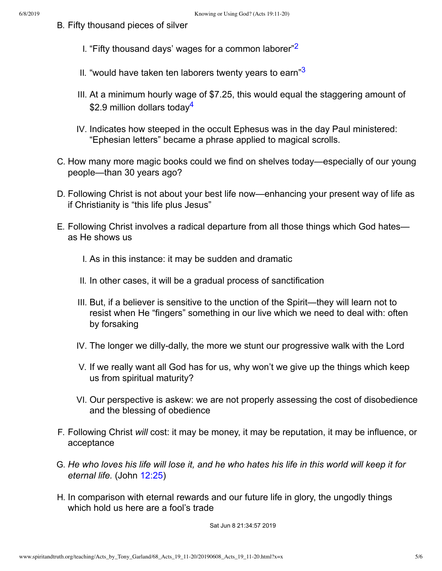- <span id="page-4-1"></span><span id="page-4-0"></span>B. Fifty thousand pieces of silver
	- I. "Fifty thousand days' wages for a common laborer"<sup>[2](#page-5-3)</sup>
	- II. "would have taken ten laborers twenty years to earn" $3$
	- III. At a minimum hourly wage of \$7.25, this would equal the staggering amount of \$2.9 million dollars today<sup>[4](#page-5-5)</sup>
	- IV. Indicates how steeped in the occult Ephesus was in the day Paul ministered: "Ephesian letters" became a phrase applied to magical scrolls.
- <span id="page-4-2"></span>C. How many more magic books could we find on shelves today—especially of our young people—than 30 years ago?
- D. Following Christ is not about your best life now—enhancing your present way of life as if Christianity is "this life plus Jesus"
- E. Following Christ involves a radical departure from all those things which God hates as He shows us
	- I. As in this instance: it may be sudden and dramatic
	- II. In other cases, it will be a gradual process of sanctification
	- III. But, if a believer is sensitive to the unction of the Spirit—they will learn not to resist when He "fingers" something in our live which we need to deal with: often by forsaking
	- IV. The longer we dilly-dally, the more we stunt our progressive walk with the Lord
	- V. If we really want all God has for us, why won't we give up the things which keep us from spiritual maturity?
	- VI. Our perspective is askew: we are not properly assessing the cost of disobedience and the blessing of obedience
- F. Following Christ *will* cost: it may be money, it may be reputation, it may be influence, or acceptance
- G. He who loves his life will lose it, and he who hates his life in this world will keep it for *eternal life.* (John [12:25](http://www.spiritandtruth.org/bibles/nasb/b43c012.htm#John_C12V25))
- H. In comparison with eternal rewards and our future life in glory, the ungodly things which hold us here are a fool's trade

Sat Jun 8 21:34:57 2019